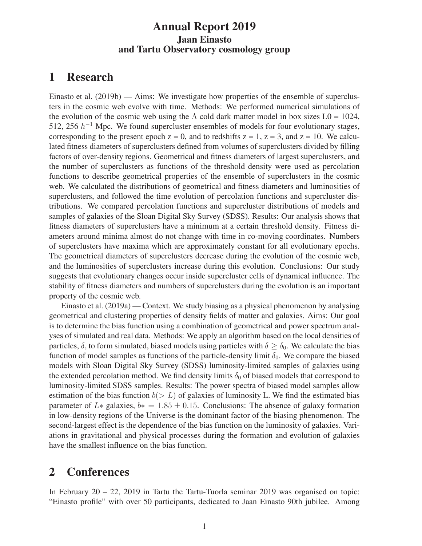#### Annual Report 2019 Jaan Einasto and Tartu Observatory cosmology group

# 1 Research

Einasto et al. (2019b) — Aims: We investigate how properties of the ensemble of superclusters in the cosmic web evolve with time. Methods: We performed numerical simulations of the evolution of the cosmic web using the  $\Lambda$  cold dark matter model in box sizes L0 = 1024, 512, 256  $h^{-1}$  Mpc. We found supercluster ensembles of models for four evolutionary stages, corresponding to the present epoch  $z = 0$ , and to redshifts  $z = 1$ ,  $z = 3$ , and  $z = 10$ . We calculated fitness diameters of superclusters defined from volumes of superclusters divided by filling factors of over-density regions. Geometrical and fitness diameters of largest superclusters, and the number of superclusters as functions of the threshold density were used as percolation functions to describe geometrical properties of the ensemble of superclusters in the cosmic web. We calculated the distributions of geometrical and fitness diameters and luminosities of superclusters, and followed the time evolution of percolation functions and supercluster distributions. We compared percolation functions and supercluster distributions of models and samples of galaxies of the Sloan Digital Sky Survey (SDSS). Results: Our analysis shows that fitness diameters of superclusters have a minimum at a certain threshold density. Fitness diameters around minima almost do not change with time in co-moving coordinates. Numbers of superclusters have maxima which are approximately constant for all evolutionary epochs. The geometrical diameters of superclusters decrease during the evolution of the cosmic web, and the luminosities of superclusters increase during this evolution. Conclusions: Our study suggests that evolutionary changes occur inside supercluster cells of dynamical influence. The stability of fitness diameters and numbers of superclusters during the evolution is an important property of the cosmic web.

Einasto et al. (2019a) — Context. We study biasing as a physical phenomenon by analysing geometrical and clustering properties of density fields of matter and galaxies. Aims: Our goal is to determine the bias function using a combination of geometrical and power spectrum analyses of simulated and real data. Methods: We apply an algorithm based on the local densities of particles,  $\delta$ , to form simulated, biased models using particles with  $\delta \geq \delta_0$ . We calculate the bias function of model samples as functions of the particle-density limit  $\delta_0$ . We compare the biased models with Sloan Digital Sky Survey (SDSS) luminosity-limited samples of galaxies using the extended percolation method. We find density limits  $\delta_0$  of biased models that correspond to luminosity-limited SDSS samples. Results: The power spectra of biased model samples allow estimation of the bias function  $b(> L)$  of galaxies of luminosity L. We find the estimated bias parameter of L∗ galaxies,  $b* = 1.85 \pm 0.15$ . Conclusions: The absence of galaxy formation in low-density regions of the Universe is the dominant factor of the biasing phenomenon. The second-largest effect is the dependence of the bias function on the luminosity of galaxies. Variations in gravitational and physical processes during the formation and evolution of galaxies have the smallest influence on the bias function.

## 2 Conferences

In February 20 – 22, 2019 in Tartu the Tartu-Tuorla seminar 2019 was organised on topic: "Einasto profile" with over 50 participants, dedicated to Jaan Einasto 90th jubilee. Among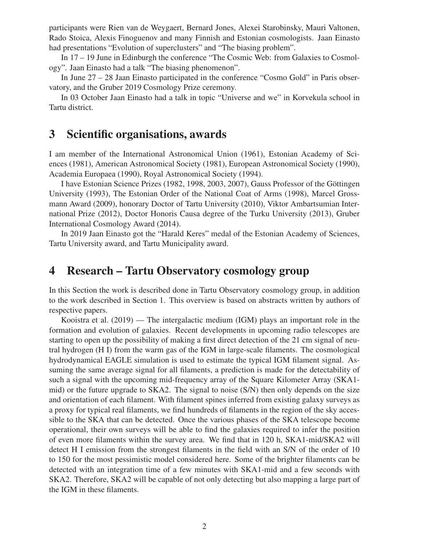participants were Rien van de Weygaert, Bernard Jones, Alexei Starobinsky, Mauri Valtonen, Rado Stoica, Alexis Finoguenov and many Finnish and Estonian cosmologists. Jaan Einasto had presentations "Evolution of superclusters" and "The biasing problem".

In 17 – 19 June in Edinburgh the conference "The Cosmic Web: from Galaxies to Cosmology". Jaan Einasto had a talk "The biasing phenomenon".

In June 27 – 28 Jaan Einasto participated in the conference "Cosmo Gold" in Paris observatory, and the Gruber 2019 Cosmology Prize ceremony.

In 03 October Jaan Einasto had a talk in topic "Universe and we" in Korvekula school in Tartu district.

## 3 Scientific organisations, awards

I am member of the International Astronomical Union (1961), Estonian Academy of Sciences (1981), American Astronomical Society (1981), European Astronomical Society (1990), Academia Europaea (1990), Royal Astronomical Society (1994).

I have Estonian Science Prizes (1982, 1998, 2003, 2007), Gauss Professor of the Göttingen University (1993), The Estonian Order of the National Coat of Arms (1998), Marcel Grossmann Award (2009), honorary Doctor of Tartu University (2010), Viktor Ambartsumian International Prize (2012), Doctor Honoris Causa degree of the Turku University (2013), Gruber International Cosmology Award (2014).

In 2019 Jaan Einasto got the "Harald Keres" medal of the Estonian Academy of Sciences, Tartu University award, and Tartu Municipality award.

# 4 Research – Tartu Observatory cosmology group

In this Section the work is described done in Tartu Observatory cosmology group, in addition to the work described in Section 1. This overview is based on abstracts written by authors of respective papers.

Kooistra et al. (2019) — The intergalactic medium (IGM) plays an important role in the formation and evolution of galaxies. Recent developments in upcoming radio telescopes are starting to open up the possibility of making a first direct detection of the 21 cm signal of neutral hydrogen (H I) from the warm gas of the IGM in large-scale filaments. The cosmological hydrodynamical EAGLE simulation is used to estimate the typical IGM filament signal. Assuming the same average signal for all filaments, a prediction is made for the detectability of such a signal with the upcoming mid-frequency array of the Square Kilometer Array (SKA1 mid) or the future upgrade to SKA2. The signal to noise (S/N) then only depends on the size and orientation of each filament. With filament spines inferred from existing galaxy surveys as a proxy for typical real filaments, we find hundreds of filaments in the region of the sky accessible to the SKA that can be detected. Once the various phases of the SKA telescope become operational, their own surveys will be able to find the galaxies required to infer the position of even more filaments within the survey area. We find that in 120 h, SKA1-mid/SKA2 will detect H I emission from the strongest filaments in the field with an S/N of the order of 10 to 150 for the most pessimistic model considered here. Some of the brighter filaments can be detected with an integration time of a few minutes with SKA1-mid and a few seconds with SKA2. Therefore, SKA2 will be capable of not only detecting but also mapping a large part of the IGM in these filaments.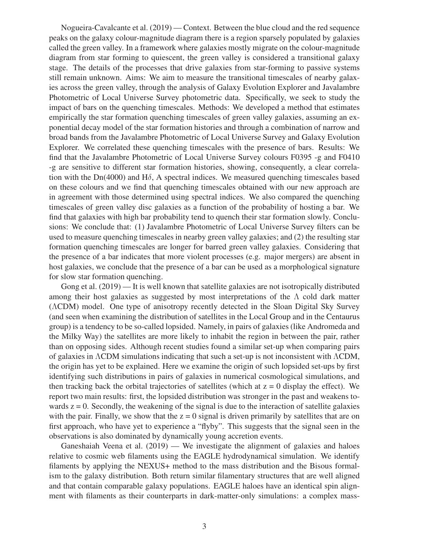Nogueira-Cavalcante et al. (2019) — Context. Between the blue cloud and the red sequence peaks on the galaxy colour-magnitude diagram there is a region sparsely populated by galaxies called the green valley. In a framework where galaxies mostly migrate on the colour-magnitude diagram from star forming to quiescent, the green valley is considered a transitional galaxy stage. The details of the processes that drive galaxies from star-forming to passive systems still remain unknown. Aims: We aim to measure the transitional timescales of nearby galaxies across the green valley, through the analysis of Galaxy Evolution Explorer and Javalambre Photometric of Local Universe Survey photometric data. Specifically, we seek to study the impact of bars on the quenching timescales. Methods: We developed a method that estimates empirically the star formation quenching timescales of green valley galaxies, assuming an exponential decay model of the star formation histories and through a combination of narrow and broad bands from the Javalambre Photometric of Local Universe Survey and Galaxy Evolution Explorer. We correlated these quenching timescales with the presence of bars. Results: We find that the Javalambre Photometric of Local Universe Survey colours F0395 -g and F0410 -g are sensitive to different star formation histories, showing, consequently, a clear correlation with the Dn(4000) and H $\delta$ , A spectral indices. We measured quenching timescales based on these colours and we find that quenching timescales obtained with our new approach are in agreement with those determined using spectral indices. We also compared the quenching timescales of green valley disc galaxies as a function of the probability of hosting a bar. We find that galaxies with high bar probability tend to quench their star formation slowly. Conclusions: We conclude that: (1) Javalambre Photometric of Local Universe Survey filters can be used to measure quenching timescales in nearby green valley galaxies; and (2) the resulting star formation quenching timescales are longer for barred green valley galaxies. Considering that the presence of a bar indicates that more violent processes (e.g. major mergers) are absent in host galaxies, we conclude that the presence of a bar can be used as a morphological signature for slow star formation quenching.

Gong et al. (2019) — It is well known that satellite galaxies are not isotropically distributed among their host galaxies as suggested by most interpretations of the  $\Lambda$  cold dark matter (ΛCDM) model. One type of anisotropy recently detected in the Sloan Digital Sky Survey (and seen when examining the distribution of satellites in the Local Group and in the Centaurus group) is a tendency to be so-called lopsided. Namely, in pairs of galaxies (like Andromeda and the Milky Way) the satellites are more likely to inhabit the region in between the pair, rather than on opposing sides. Although recent studies found a similar set-up when comparing pairs of galaxies in ΛCDM simulations indicating that such a set-up is not inconsistent with ΛCDM, the origin has yet to be explained. Here we examine the origin of such lopsided set-ups by first identifying such distributions in pairs of galaxies in numerical cosmological simulations, and then tracking back the orbital trajectories of satellites (which at  $z = 0$  display the effect). We report two main results: first, the lopsided distribution was stronger in the past and weakens towards  $z = 0$ . Secondly, the weakening of the signal is due to the interaction of satellite galaxies with the pair. Finally, we show that the  $z = 0$  signal is driven primarily by satellites that are on first approach, who have yet to experience a "flyby". This suggests that the signal seen in the observations is also dominated by dynamically young accretion events.

Ganeshaiah Veena et al. (2019) — We investigate the alignment of galaxies and haloes relative to cosmic web filaments using the EAGLE hydrodynamical simulation. We identify filaments by applying the NEXUS+ method to the mass distribution and the Bisous formalism to the galaxy distribution. Both return similar filamentary structures that are well aligned and that contain comparable galaxy populations. EAGLE haloes have an identical spin alignment with filaments as their counterparts in dark-matter-only simulations: a complex mass-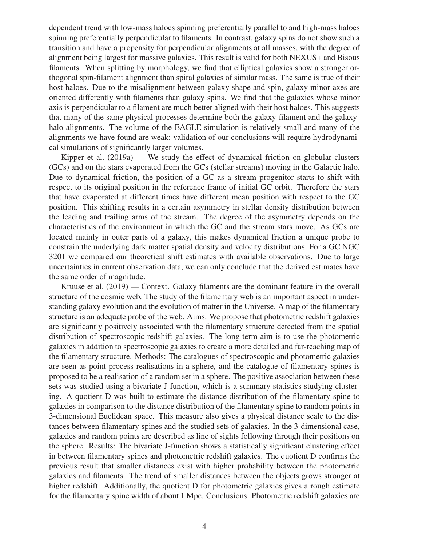dependent trend with low-mass haloes spinning preferentially parallel to and high-mass haloes spinning preferentially perpendicular to filaments. In contrast, galaxy spins do not show such a transition and have a propensity for perpendicular alignments at all masses, with the degree of alignment being largest for massive galaxies. This result is valid for both NEXUS+ and Bisous filaments. When splitting by morphology, we find that elliptical galaxies show a stronger orthogonal spin-filament alignment than spiral galaxies of similar mass. The same is true of their host haloes. Due to the misalignment between galaxy shape and spin, galaxy minor axes are oriented differently with filaments than galaxy spins. We find that the galaxies whose minor axis is perpendicular to a filament are much better aligned with their host haloes. This suggests that many of the same physical processes determine both the galaxy-filament and the galaxyhalo alignments. The volume of the EAGLE simulation is relatively small and many of the alignments we have found are weak; validation of our conclusions will require hydrodynamical simulations of significantly larger volumes.

Kipper et al. (2019a) — We study the effect of dynamical friction on globular clusters (GCs) and on the stars evaporated from the GCs (stellar streams) moving in the Galactic halo. Due to dynamical friction, the position of a GC as a stream progenitor starts to shift with respect to its original position in the reference frame of initial GC orbit. Therefore the stars that have evaporated at different times have different mean position with respect to the GC position. This shifting results in a certain asymmetry in stellar density distribution between the leading and trailing arms of the stream. The degree of the asymmetry depends on the characteristics of the environment in which the GC and the stream stars move. As GCs are located mainly in outer parts of a galaxy, this makes dynamical friction a unique probe to constrain the underlying dark matter spatial density and velocity distributions. For a GC NGC 3201 we compared our theoretical shift estimates with available observations. Due to large uncertainties in current observation data, we can only conclude that the derived estimates have the same order of magnitude.

Kruuse et al. (2019) — Context. Galaxy filaments are the dominant feature in the overall structure of the cosmic web. The study of the filamentary web is an important aspect in understanding galaxy evolution and the evolution of matter in the Universe. A map of the filamentary structure is an adequate probe of the web. Aims: We propose that photometric redshift galaxies are significantly positively associated with the filamentary structure detected from the spatial distribution of spectroscopic redshift galaxies. The long-term aim is to use the photometric galaxies in addition to spectroscopic galaxies to create a more detailed and far-reaching map of the filamentary structure. Methods: The catalogues of spectroscopic and photometric galaxies are seen as point-process realisations in a sphere, and the catalogue of filamentary spines is proposed to be a realisation of a random set in a sphere. The positive association between these sets was studied using a bivariate J-function, which is a summary statistics studying clustering. A quotient D was built to estimate the distance distribution of the filamentary spine to galaxies in comparison to the distance distribution of the filamentary spine to random points in 3-dimensional Euclidean space. This measure also gives a physical distance scale to the distances between filamentary spines and the studied sets of galaxies. In the 3-dimensional case, galaxies and random points are described as line of sights following through their positions on the sphere. Results: The bivariate J-function shows a statistically significant clustering effect in between filamentary spines and photometric redshift galaxies. The quotient D confirms the previous result that smaller distances exist with higher probability between the photometric galaxies and filaments. The trend of smaller distances between the objects grows stronger at higher redshift. Additionally, the quotient D for photometric galaxies gives a rough estimate for the filamentary spine width of about 1 Mpc. Conclusions: Photometric redshift galaxies are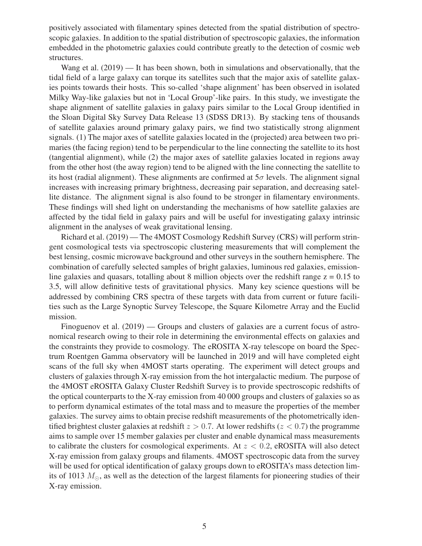positively associated with filamentary spines detected from the spatial distribution of spectroscopic galaxies. In addition to the spatial distribution of spectroscopic galaxies, the information embedded in the photometric galaxies could contribute greatly to the detection of cosmic web structures.

Wang et al. (2019) — It has been shown, both in simulations and observationally, that the tidal field of a large galaxy can torque its satellites such that the major axis of satellite galaxies points towards their hosts. This so-called 'shape alignment' has been observed in isolated Milky Way-like galaxies but not in 'Local Group'-like pairs. In this study, we investigate the shape alignment of satellite galaxies in galaxy pairs similar to the Local Group identified in the Sloan Digital Sky Survey Data Release 13 (SDSS DR13). By stacking tens of thousands of satellite galaxies around primary galaxy pairs, we find two statistically strong alignment signals. (1) The major axes of satellite galaxies located in the (projected) area between two primaries (the facing region) tend to be perpendicular to the line connecting the satellite to its host (tangential alignment), while (2) the major axes of satellite galaxies located in regions away from the other host (the away region) tend to be aligned with the line connecting the satellite to its host (radial alignment). These alignments are confirmed at  $5\sigma$  levels. The alignment signal increases with increasing primary brightness, decreasing pair separation, and decreasing satellite distance. The alignment signal is also found to be stronger in filamentary environments. These findings will shed light on understanding the mechanisms of how satellite galaxies are affected by the tidal field in galaxy pairs and will be useful for investigating galaxy intrinsic alignment in the analyses of weak gravitational lensing.

Richard et al. (2019) — The 4MOST Cosmology Redshift Survey (CRS) will perform stringent cosmological tests via spectroscopic clustering measurements that will complement the best lensing, cosmic microwave background and other surveys in the southern hemisphere. The combination of carefully selected samples of bright galaxies, luminous red galaxies, emissionline galaxies and quasars, totalling about 8 million objects over the redshift range  $z = 0.15$  to 3.5, will allow definitive tests of gravitational physics. Many key science questions will be addressed by combining CRS spectra of these targets with data from current or future facilities such as the Large Synoptic Survey Telescope, the Square Kilometre Array and the Euclid mission.

Finoguenov et al. (2019) — Groups and clusters of galaxies are a current focus of astronomical research owing to their role in determining the environmental effects on galaxies and the constraints they provide to cosmology. The eROSITA X-ray telescope on board the Spectrum Roentgen Gamma observatory will be launched in 2019 and will have completed eight scans of the full sky when 4MOST starts operating. The experiment will detect groups and clusters of galaxies through X-ray emission from the hot intergalactic medium. The purpose of the 4MOST eROSITA Galaxy Cluster Redshift Survey is to provide spectroscopic redshifts of the optical counterparts to the X-ray emission from 40 000 groups and clusters of galaxies so as to perform dynamical estimates of the total mass and to measure the properties of the member galaxies. The survey aims to obtain precise redshift measurements of the photometrically identified brightest cluster galaxies at redshift  $z > 0.7$ . At lower redshifts ( $z < 0.7$ ) the programme aims to sample over 15 member galaxies per cluster and enable dynamical mass measurements to calibrate the clusters for cosmological experiments. At  $z < 0.2$ , eROSITA will also detect X-ray emission from galaxy groups and filaments. 4MOST spectroscopic data from the survey will be used for optical identification of galaxy groups down to eROSITA's mass detection limits of 1013  $M_{\odot}$ , as well as the detection of the largest filaments for pioneering studies of their X-ray emission.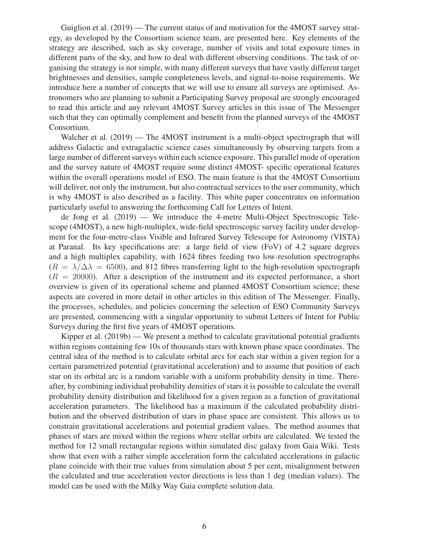Guiglion et al. (2019) — The current status of and motivation for the 4MOST survey strategy, as developed by the Consortium science team, are presented here. Key elements of the strategy are described, such as sky coverage, number of visits and total exposure times in different parts of the sky, and how to deal with different observing conditions. The task of organising the strategy is not simple, with many different surveys that have vastly different target brightnesses and densities, sample completeness levels, and signal-to-noise requirements. We introduce here a number of concepts that we will use to ensure all surveys are optimised. Astronomers who are planning to submit a Participating Survey proposal are strongly encouraged to read this article and any relevant 4MOST Survey articles in this issue of The Messenger such that they can optimally complement and benefit from the planned surveys of the 4MOST Consortium.

Walcher et al. (2019) — The 4MOST instrument is a multi-object spectrograph that will address Galactic and extragalactic science cases simultaneously by observing targets from a large number of different surveys within each science exposure. This parallel mode of operation and the survey nature of 4MOST require some distinct 4MOST- specific operational features within the overall operations model of ESO. The main feature is that the 4MOST Consortium will deliver, not only the instrument, but also contractual services to the user community, which is why 4MOST is also described as a facility. This white paper concentrates on information particularly useful to answering the forthcoming Call for Letters of Intent.

de Jong et al. (2019) — We introduce the 4-metre Multi-Object Spectroscopic Telescope (4MOST), a new high-multiplex, wide-field spectroscopic survey facility under development for the four-metre-class Visible and Infrared Survey Telescope for Astronomy (VISTA) at Paranal. Its key specifications are: a large field of view (FoV) of 4.2 square degrees and a high multiplex capability, with 1624 fibres feeding two low-resolution spectrographs  $(R = \lambda/\Delta\lambda = 6500)$ , and 812 fibres transferring light to the high-resolution spectrograph  $(R = 20000)$ . After a description of the instrument and its expected performance, a short overview is given of its operational scheme and planned 4MOST Consortium science; these aspects are covered in more detail in other articles in this edition of The Messenger. Finally, the processes, schedules, and policies concerning the selection of ESO Community Surveys are presented, commencing with a singular opportunity to submit Letters of Intent for Public Surveys during the first five years of 4MOST operations.

Kipper et al. (2019b) — We present a method to calculate gravitational potential gradients within regions containing few 10s of thousands stars with known phase space coordinates. The central idea of the method is to calculate orbital arcs for each star within a given region for a certain parametrized potential (gravitational acceleration) and to assume that position of each star on its orbital arc is a random variable with a uniform probability density in time. Thereafter, by combining individual probability densities of stars it is possible to calculate the overall probability density distribution and likelihood for a given region as a function of gravitational acceleration parameters. The likelihood has a maximum if the calculated probability distribution and the observed distribution of stars in phase space are consistent. This allows us to constrain gravitational accelerations and potential gradient values. The method assumes that phases of stars are mixed within the regions where stellar orbits are calculated. We tested the method for 12 small rectangular regions within simulated disc galaxy from Gaia Wiki. Tests show that even with a rather simple acceleration form the calculated accelerations in galactic plane coincide with their true values from simulation about 5 per cent, misalignment between the calculated and true acceleration vector directions is less than 1 deg (median values). The model can be used with the Milky Way Gaia complete solution data.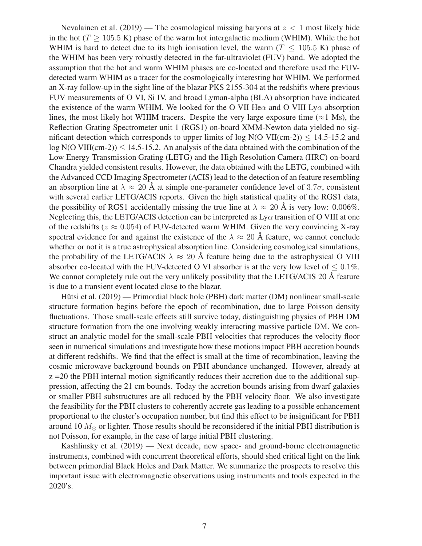Nevalainen et al.  $(2019)$  — The cosmological missing baryons at  $z < 1$  most likely hide in the hot ( $T \ge 105.5$  K) phase of the warm hot intergalactic medium (WHIM). While the hot WHIM is hard to detect due to its high ionisation level, the warm ( $T < 105.5$  K) phase of the WHIM has been very robustly detected in the far-ultraviolet (FUV) band. We adopted the assumption that the hot and warm WHIM phases are co-located and therefore used the FUVdetected warm WHIM as a tracer for the cosmologically interesting hot WHIM. We performed an X-ray follow-up in the sight line of the blazar PKS 2155-304 at the redshifts where previous FUV measurements of O VI, Si IV, and broad Lyman-alpha (BLA) absorption have indicated the existence of the warm WHIM. We looked for the O VII He $\alpha$  and O VIII Ly $\alpha$  absorption lines, the most likely hot WHIM tracers. Despite the very large exposure time ( $\approx$ 1 Ms), the Reflection Grating Spectrometer unit 1 (RGS1) on-board XMM-Newton data yielded no significant detection which corresponds to upper limits of log  $N(O VII(cm-2)) \le 14.5$ -15.2 and  $log N(O VIII(cm-2)) \le 14.5$ -15.2. An analysis of the data obtained with the combination of the Low Energy Transmission Grating (LETG) and the High Resolution Camera (HRC) on-board Chandra yielded consistent results. However, the data obtained with the LETG, combined with the Advanced CCD Imaging Spectrometer (ACIS) lead to the detection of an feature resembling an absorption line at  $\lambda \approx 20$  Å at simple one-parameter confidence level of 3.7 $\sigma$ , consistent with several earlier LETG/ACIS reports. Given the high statistical quality of the RGS1 data, the possibility of RGS1 accidentally missing the true line at  $\lambda \approx 20$  Å is very low: 0.006%. Neglecting this, the LETG/ACIS detection can be interpreted as  $Ly\alpha$  transition of O VIII at one of the redshifts ( $z \approx 0.054$ ) of FUV-detected warm WHIM. Given the very convincing X-ray spectral evidence for and against the existence of the  $\lambda \approx 20$  Å feature, we cannot conclude whether or not it is a true astrophysical absorption line. Considering cosmological simulations, the probability of the LETG/ACIS  $\lambda \approx 20$  Å feature being due to the astrophysical O VIII absorber co-located with the FUV-detected O VI absorber is at the very low level of  $\leq 0.1\%$ . We cannot completely rule out the very unlikely possibility that the LETG/ACIS 20  $\AA$  feature is due to a transient event located close to the blazar.

Hütsi et al. (2019) — Primordial black hole (PBH) dark matter (DM) nonlinear small-scale structure formation begins before the epoch of recombination, due to large Poisson density fluctuations. Those small-scale effects still survive today, distinguishing physics of PBH DM structure formation from the one involving weakly interacting massive particle DM. We construct an analytic model for the small-scale PBH velocities that reproduces the velocity floor seen in numerical simulations and investigate how these motions impact PBH accretion bounds at different redshifts. We find that the effect is small at the time of recombination, leaving the cosmic microwave background bounds on PBH abundance unchanged. However, already at  $z = 20$  the PBH internal motion significantly reduces their accretion due to the additional suppression, affecting the 21 cm bounds. Today the accretion bounds arising from dwarf galaxies or smaller PBH substructures are all reduced by the PBH velocity floor. We also investigate the feasibility for the PBH clusters to coherently accrete gas leading to a possible enhancement proportional to the cluster's occupation number, but find this effect to be insignificant for PBH around 10  $M_{\odot}$  or lighter. Those results should be reconsidered if the initial PBH distribution is not Poisson, for example, in the case of large initial PBH clustering.

Kashlinsky et al. (2019) — Next decade, new space- and ground-borne electromagnetic instruments, combined with concurrent theoretical efforts, should shed critical light on the link between primordial Black Holes and Dark Matter. We summarize the prospects to resolve this important issue with electromagnetic observations using instruments and tools expected in the 2020's.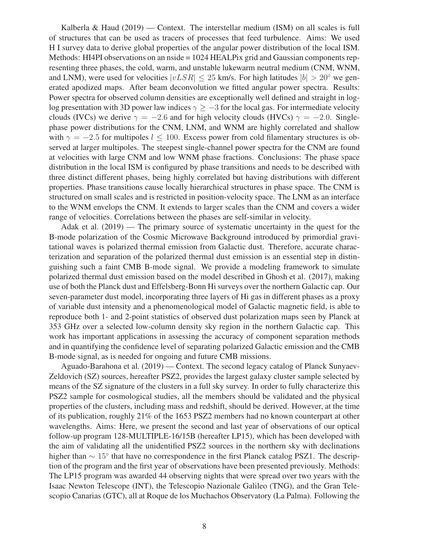Kalberla & Haud  $(2019)$  — Context. The interstellar medium (ISM) on all scales is full of structures that can be used as tracers of processes that feed turbulence. Aims: We used H I survey data to derive global properties of the angular power distribution of the local ISM. Methods: HI4PI observations on an nside = 1024 HEALPix grid and Gaussian components representing three phases, the cold, warm, and unstable lukewarm neutral medium (CNM, WNM, and LNM), were used for velocities  $|vLSR| \le 25$  km/s. For high latitudes  $|b| > 20^\circ$  we generated apodized maps. After beam deconvolution we fitted angular power spectra. Results: Power spectra for observed column densities are exceptionally well defined and straight in loglog presentation with 3D power law indices  $\gamma \geq -3$  for the local gas. For intermediate velocity clouds (IVCs) we derive  $\gamma = -2.6$  and for high velocity clouds (HVCs)  $\gamma = -2.0$ . Singlephase power distributions for the CNM, LNM, and WNM are highly correlated and shallow with  $\gamma = -2.5$  for multipoles  $l \le 100$ . Excess power from cold filamentary structures is observed at larger multipoles. The steepest single-channel power spectra for the CNM are found at velocities with large CNM and low WNM phase fractions. Conclusions: The phase space distribution in the local ISM is configured by phase transitions and needs to be described with three distinct different phases, being highly correlated but having distributions with different properties. Phase transitions cause locally hierarchical structures in phase space. The CNM is structured on small scales and is restricted in position-velocity space. The LNM as an interface to the WNM envelops the CNM. It extends to larger scales than the CNM and covers a wider range of velocities. Correlations between the phases are self-similar in velocity.

Adak et al. (2019) — The primary source of systematic uncertainty in the quest for the B-mode polarization of the Cosmic Microwave Background introduced by primordial gravitational waves is polarized thermal emission from Galactic dust. Therefore, accurate characterization and separation of the polarized thermal dust emission is an essential step in distinguishing such a faint CMB B-mode signal. We provide a modeling framework to simulate polarized thermal dust emission based on the model described in Ghosh et al. (2017), making use of both the Planck dust and Effelsberg-Bonn Hi surveys over the northern Galactic cap. Our seven-parameter dust model, incorporating three layers of Hi gas in different phases as a proxy of variable dust intensity and a phenomenological model of Galactic magnetic field, is able to reproduce both 1- and 2-point statistics of observed dust polarization maps seen by Planck at 353 GHz over a selected low-column density sky region in the northern Galactic cap. This work has important applications in assessing the accuracy of component separation methods and in quantifying the confidence level of separating polarized Galactic emission and the CMB B-mode signal, as is needed for ongoing and future CMB missions.

Aguado-Barahona et al. (2019) — Context. The second legacy catalog of Planck Sunyaev-Zeldovich (SZ) sources, hereafter PSZ2, provides the largest galaxy cluster sample selected by means of the SZ signature of the clusters in a full sky survey. In order to fully characterize this PSZ2 sample for cosmological studies, all the members should be validated and the physical properties of the clusters, including mass and redshift, should be derived. However, at the time of its publication, roughly 21% of the 1653 PSZ2 members had no known counterpart at other wavelengths. Aims: Here, we present the second and last year of observations of our optical follow-up program 128-MULTIPLE-16/15B (hereafter LP15), which has been developed with the aim of validating all the unidentified PSZ2 sources in the northern sky with declinations higher than  $\sim 15^{\circ}$  that have no correspondence in the first Planck catalog PSZ1. The description of the program and the first year of observations have been presented previously. Methods: The LP15 program was awarded 44 observing nights that were spread over two years with the Isaac Newton Telescope (INT), the Telescopio Nazionale Galileo (TNG), and the Gran Telescopio Canarias (GTC), all at Roque de los Muchachos Observatory (La Palma). Following the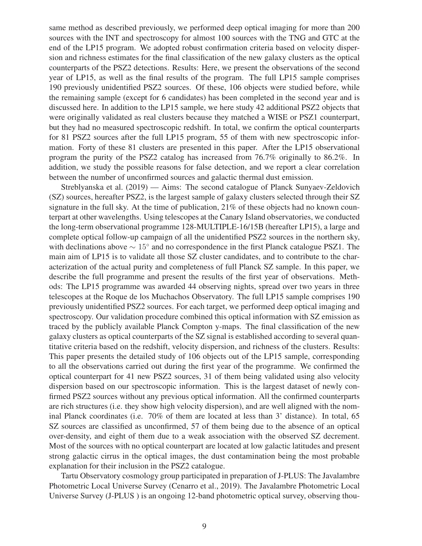same method as described previously, we performed deep optical imaging for more than 200 sources with the INT and spectroscopy for almost 100 sources with the TNG and GTC at the end of the LP15 program. We adopted robust confirmation criteria based on velocity dispersion and richness estimates for the final classification of the new galaxy clusters as the optical counterparts of the PSZ2 detections. Results: Here, we present the observations of the second year of LP15, as well as the final results of the program. The full LP15 sample comprises 190 previously unidentified PSZ2 sources. Of these, 106 objects were studied before, while the remaining sample (except for 6 candidates) has been completed in the second year and is discussed here. In addition to the LP15 sample, we here study 42 additional PSZ2 objects that were originally validated as real clusters because they matched a WISE or PSZ1 counterpart, but they had no measured spectroscopic redshift. In total, we confirm the optical counterparts for 81 PSZ2 sources after the full LP15 program, 55 of them with new spectroscopic information. Forty of these 81 clusters are presented in this paper. After the LP15 observational program the purity of the PSZ2 catalog has increased from 76.7% originally to 86.2%. In addition, we study the possible reasons for false detection, and we report a clear correlation between the number of unconfirmed sources and galactic thermal dust emission.

Streblyanska et al. (2019) — Aims: The second catalogue of Planck Sunyaev-Zeldovich (SZ) sources, hereafter PSZ2, is the largest sample of galaxy clusters selected through their SZ signature in the full sky. At the time of publication, 21% of these objects had no known counterpart at other wavelengths. Using telescopes at the Canary Island observatories, we conducted the long-term observational programme 128-MULTIPLE-16/15B (hereafter LP15), a large and complete optical follow-up campaign of all the unidentified PSZ2 sources in the northern sky, with declinations above  $\sim 15^{\circ}$  and no correspondence in the first Planck catalogue PSZ1. The main aim of LP15 is to validate all those SZ cluster candidates, and to contribute to the characterization of the actual purity and completeness of full Planck SZ sample. In this paper, we describe the full programme and present the results of the first year of observations. Methods: The LP15 programme was awarded 44 observing nights, spread over two years in three telescopes at the Roque de los Muchachos Observatory. The full LP15 sample comprises 190 previously unidentified PSZ2 sources. For each target, we performed deep optical imaging and spectroscopy. Our validation procedure combined this optical information with SZ emission as traced by the publicly available Planck Compton y-maps. The final classification of the new galaxy clusters as optical counterparts of the SZ signal is established according to several quantitative criteria based on the redshift, velocity dispersion, and richness of the clusters. Results: This paper presents the detailed study of 106 objects out of the LP15 sample, corresponding to all the observations carried out during the first year of the programme. We confirmed the optical counterpart for 41 new PSZ2 sources, 31 of them being validated using also velocity dispersion based on our spectroscopic information. This is the largest dataset of newly confirmed PSZ2 sources without any previous optical information. All the confirmed counterparts are rich structures (i.e. they show high velocity dispersion), and are well aligned with the nominal Planck coordinates (i.e. 70% of them are located at less than 3' distance). In total, 65 SZ sources are classified as unconfirmed, 57 of them being due to the absence of an optical over-density, and eight of them due to a weak association with the observed SZ decrement. Most of the sources with no optical counterpart are located at low galactic latitudes and present strong galactic cirrus in the optical images, the dust contamination being the most probable explanation for their inclusion in the PSZ2 catalogue.

Tartu Observatory cosmology group participated in preparation of J-PLUS: The Javalambre Photometric Local Universe Survey (Cenarro et al., 2019). The Javalambre Photometric Local Universe Survey (J-PLUS ) is an ongoing 12-band photometric optical survey, observing thou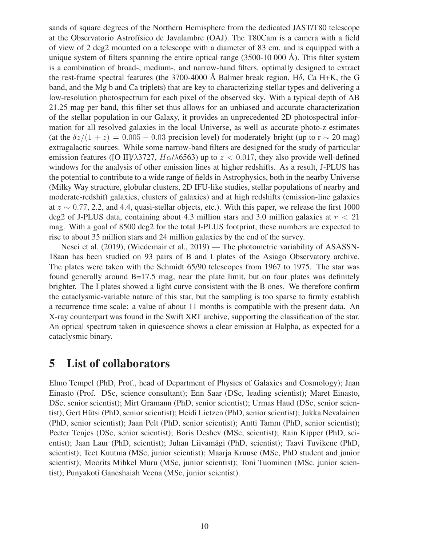sands of square degrees of the Northern Hemisphere from the dedicated JAST/T80 telescope at the Observatorio Astrofísico de Javalambre (OAJ). The T80Cam is a camera with a field of view of 2 deg2 mounted on a telescope with a diameter of 83 cm, and is equipped with a unique system of filters spanning the entire optical range (3500-10 000 Å). This filter system is a combination of broad-, medium-, and narrow-band filters, optimally designed to extract the rest-frame spectral features (the 3700-4000 Å Balmer break region,  $H\delta$ , Ca H+K, the G band, and the Mg b and Ca triplets) that are key to characterizing stellar types and delivering a low-resolution photospectrum for each pixel of the observed sky. With a typical depth of AB 21.25 mag per band, this filter set thus allows for an unbiased and accurate characterization of the stellar population in our Galaxy, it provides an unprecedented 2D photospectral information for all resolved galaxies in the local Universe, as well as accurate photo-z estimates (at the  $\delta z/(1+z) = 0.005 - 0.03$  precision level) for moderately bright (up to r  $\sim$  20 mag) extragalactic sources. While some narrow-band filters are designed for the study of particular emission features ([O II]/ $\lambda$ 3727, H $\alpha/\lambda$ 6563) up to  $z < 0.017$ , they also provide well-defined windows for the analysis of other emission lines at higher redshifts. As a result, J-PLUS has the potential to contribute to a wide range of fields in Astrophysics, both in the nearby Universe (Milky Way structure, globular clusters, 2D IFU-like studies, stellar populations of nearby and moderate-redshift galaxies, clusters of galaxies) and at high redshifts (emission-line galaxies at  $z \sim 0.77$ , 2.2, and 4.4, quasi-stellar objects, etc.). With this paper, we release the first 1000 deg2 of J-PLUS data, containing about 4.3 million stars and 3.0 million galaxies at  $r < 21$ mag. With a goal of 8500 deg2 for the total J-PLUS footprint, these numbers are expected to rise to about 35 million stars and 24 million galaxies by the end of the survey.

Nesci et al. (2019), (Wiedemair et al., 2019) — The photometric variability of ASASSN-18aan has been studied on 93 pairs of B and I plates of the Asiago Observatory archive. The plates were taken with the Schmidt 65/90 telescopes from 1967 to 1975. The star was found generally around B=17.5 mag, near the plate limit, but on four plates was definitely brighter. The I plates showed a light curve consistent with the B ones. We therefore confirm the cataclysmic-variable nature of this star, but the sampling is too sparse to firmly establish a recurrence time scale: a value of about 11 months is compatible with the present data. An X-ray counterpart was found in the Swift XRT archive, supporting the classification of the star. An optical spectrum taken in quiescence shows a clear emission at Halpha, as expected for a cataclysmic binary.

#### 5 List of collaborators

Elmo Tempel (PhD, Prof., head of Department of Physics of Galaxies and Cosmology); Jaan Einasto (Prof. DSc, science consultant); Enn Saar (DSc, leading scientist); Maret Einasto, DSc, senior scientist); Mirt Gramann (PhD, senior scientist); Urmas Haud (DSc, senior scientist); Gert Hütsi (PhD, senior scientist); Heidi Lietzen (PhD, senior scientist); Jukka Nevalainen (PhD, senior scientist); Jaan Pelt (PhD, senior scientist); Antti Tamm (PhD, senior scientist); Peeter Tenjes (DSc, senior scientist); Boris Deshev (MSc, scientist); Rain Kipper (PhD, scientist); Jaan Laur (PhD, scientist); Juhan Liivamägi (PhD, scientist); Taavi Tuvikene (PhD, scientist); Teet Kuutma (MSc, junior scientist); Maarja Kruuse (MSc, PhD student and junior scientist); Moorits Mihkel Muru (MSc, junior scientist); Toni Tuominen (MSc, junior scientist); Punyakoti Ganeshaiah Veena (MSc, junior scientist).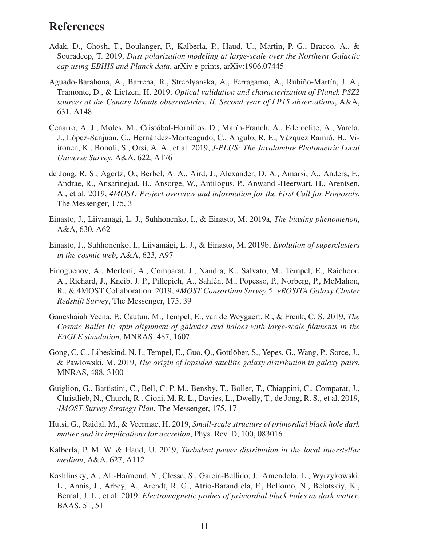## References

- Adak, D., Ghosh, T., Boulanger, F., Kalberla, P., Haud, U., Martin, P. G., Bracco, A., & Souradeep, T. 2019, *Dust polarization modeling at large-scale over the Northern Galactic cap using EBHIS and Planck data*, arXiv e-prints, arXiv:1906.07445
- Aguado-Barahona, A., Barrena, R., Streblyanska, A., Ferragamo, A., Rubiño-Martín, J. A., Tramonte, D., & Lietzen, H. 2019, *Optical validation and characterization of Planck PSZ2 sources at the Canary Islands observatories. II. Second year of LP15 observations*, A&A, 631, A148
- Cenarro, A. J., Moles, M., Cristóbal-Hornillos, D., Marín-Franch, A., Ederoclite, A., Varela, J., López-Sanjuan, C., Hernández-Monteagudo, C., Angulo, R. E., Vázquez Ramió, H., Viironen, K., Bonoli, S., Orsi, A. A., et al. 2019, *J-PLUS: The Javalambre Photometric Local Universe Survey*, A&A, 622, A176
- de Jong, R. S., Agertz, O., Berbel, A. A., Aird, J., Alexander, D. A., Amarsi, A., Anders, F., Andrae, R., Ansarinejad, B., Ansorge, W., Antilogus, P., Anwand -Heerwart, H., Arentsen, A., et al. 2019, *4MOST: Project overview and information for the First Call for Proposals*, The Messenger, 175, 3
- Einasto, J., Liivamägi, L. J., Suhhonenko, I., & Einasto, M. 2019a, *The biasing phenomenon*, A&A, 630, A62
- Einasto, J., Suhhonenko, I., Liivamägi, L. J., & Einasto, M. 2019b, *Evolution of superclusters in the cosmic web*, A&A, 623, A97
- Finoguenov, A., Merloni, A., Comparat, J., Nandra, K., Salvato, M., Tempel, E., Raichoor, A., Richard, J., Kneib, J. P., Pillepich, A., Sahlén, M., Popesso, P., Norberg, P., McMahon, R., & 4MOST Collaboration. 2019, *4MOST Consortium Survey 5: eROSITA Galaxy Cluster Redshift Survey*, The Messenger, 175, 39
- Ganeshaiah Veena, P., Cautun, M., Tempel, E., van de Weygaert, R., & Frenk, C. S. 2019, *The Cosmic Ballet II: spin alignment of galaxies and haloes with large-scale filaments in the EAGLE simulation*, MNRAS, 487, 1607
- Gong, C. C., Libeskind, N. I., Tempel, E., Guo, Q., Gottlöber, S., Yepes, G., Wang, P., Sorce, J., & Pawlowski, M. 2019, *The origin of lopsided satellite galaxy distribution in galaxy pairs*, MNRAS, 488, 3100
- Guiglion, G., Battistini, C., Bell, C. P. M., Bensby, T., Boller, T., Chiappini, C., Comparat, J., Christlieb, N., Church, R., Cioni, M. R. L., Davies, L., Dwelly, T., de Jong, R. S., et al. 2019, *4MOST Survey Strategy Plan*, The Messenger, 175, 17
- Hütsi, G., Raidal, M., & Veermäe, H. 2019, *Small-scale structure of primordial black hole dark matter and its implications for accretion*, Phys. Rev. D, 100, 083016
- Kalberla, P. M. W. & Haud, U. 2019, *Turbulent power distribution in the local interstellar medium*, A&A, 627, A112
- Kashlinsky, A., Ali-Haïmoud, Y., Clesse, S., Garcia-Bellido, J., Amendola, L., Wyrzykowski, L., Annis, J., Arbey, A., Arendt, R. G., Atrio-Barand ela, F., Bellomo, N., Belotskiy, K., Bernal, J. L., et al. 2019, *Electromagnetic probes of primordial black holes as dark matter*, BAAS, 51, 51